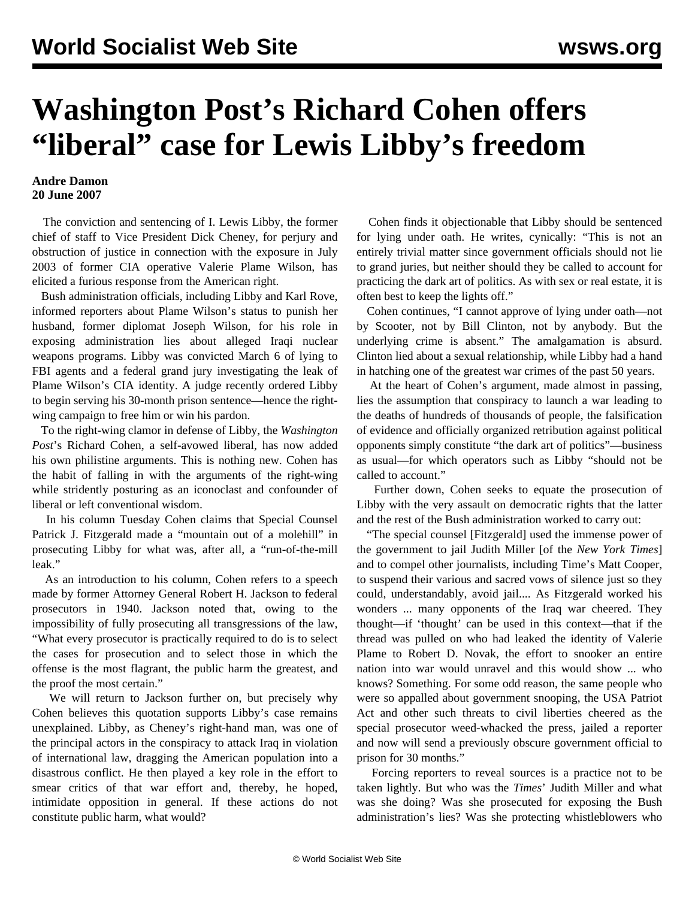## **Washington Post's Richard Cohen offers "liberal" case for Lewis Libby's freedom**

## **Andre Damon 20 June 2007**

 The conviction and sentencing of I. Lewis Libby, the former chief of staff to Vice President Dick Cheney, for perjury and obstruction of justice in connection with the exposure in July 2003 of former CIA operative Valerie Plame Wilson, has elicited a furious response from the American right.

 Bush administration officials, including Libby and Karl Rove, informed reporters about Plame Wilson's status to punish her husband, former diplomat Joseph Wilson, for his role in exposing administration lies about alleged Iraqi nuclear weapons programs. Libby was convicted March 6 of lying to FBI agents and a federal grand jury investigating the leak of Plame Wilson's CIA identity. A judge recently ordered Libby to begin serving his 30-month prison sentence—hence the rightwing campaign to free him or win his pardon.

 To the right-wing clamor in defense of Libby, the *Washington Post*'s Richard Cohen, a self-avowed liberal, has now added his own philistine arguments. This is nothing new. Cohen has the habit of falling in with the arguments of the right-wing while stridently posturing as an iconoclast and confounder of liberal or left conventional wisdom.

 In his column Tuesday Cohen claims that Special Counsel Patrick J. Fitzgerald made a "mountain out of a molehill" in prosecuting Libby for what was, after all, a "run-of-the-mill leak."

 As an introduction to his column, Cohen refers to a speech made by former Attorney General Robert H. Jackson to federal prosecutors in 1940. Jackson noted that, owing to the impossibility of fully prosecuting all transgressions of the law, "What every prosecutor is practically required to do is to select the cases for prosecution and to select those in which the offense is the most flagrant, the public harm the greatest, and the proof the most certain."

 We will return to Jackson further on, but precisely why Cohen believes this quotation supports Libby's case remains unexplained. Libby, as Cheney's right-hand man, was one of the principal actors in the conspiracy to attack Iraq in violation of international law, dragging the American population into a disastrous conflict. He then played a key role in the effort to smear critics of that war effort and, thereby, he hoped, intimidate opposition in general. If these actions do not constitute public harm, what would?

 Cohen finds it objectionable that Libby should be sentenced for lying under oath. He writes, cynically: "This is not an entirely trivial matter since government officials should not lie to grand juries, but neither should they be called to account for practicing the dark art of politics. As with sex or real estate, it is often best to keep the lights off."

 Cohen continues, "I cannot approve of lying under oath—not by Scooter, not by Bill Clinton, not by anybody. But the underlying crime is absent." The amalgamation is absurd. Clinton lied about a sexual relationship, while Libby had a hand in hatching one of the greatest war crimes of the past 50 years.

 At the heart of Cohen's argument, made almost in passing, lies the assumption that conspiracy to launch a war leading to the deaths of hundreds of thousands of people, the falsification of evidence and officially organized retribution against political opponents simply constitute "the dark art of politics"—business as usual—for which operators such as Libby "should not be called to account."

 Further down, Cohen seeks to equate the prosecution of Libby with the very assault on democratic rights that the latter and the rest of the Bush administration worked to carry out:

 "The special counsel [Fitzgerald] used the immense power of the government to jail Judith Miller [of the *New York Times*] and to compel other journalists, including Time's Matt Cooper, to suspend their various and sacred vows of silence just so they could, understandably, avoid jail.... As Fitzgerald worked his wonders ... many opponents of the Iraq war cheered. They thought—if 'thought' can be used in this context—that if the thread was pulled on who had leaked the identity of Valerie Plame to Robert D. Novak, the effort to snooker an entire nation into war would unravel and this would show ... who knows? Something. For some odd reason, the same people who were so appalled about government snooping, the USA Patriot Act and other such threats to civil liberties cheered as the special prosecutor weed-whacked the press, jailed a reporter and now will send a previously obscure government official to prison for 30 months."

 Forcing reporters to reveal sources is a practice not to be taken lightly. But who was the *Times*' Judith Miller and what was she doing? Was she prosecuted for exposing the Bush administration's lies? Was she protecting whistleblowers who